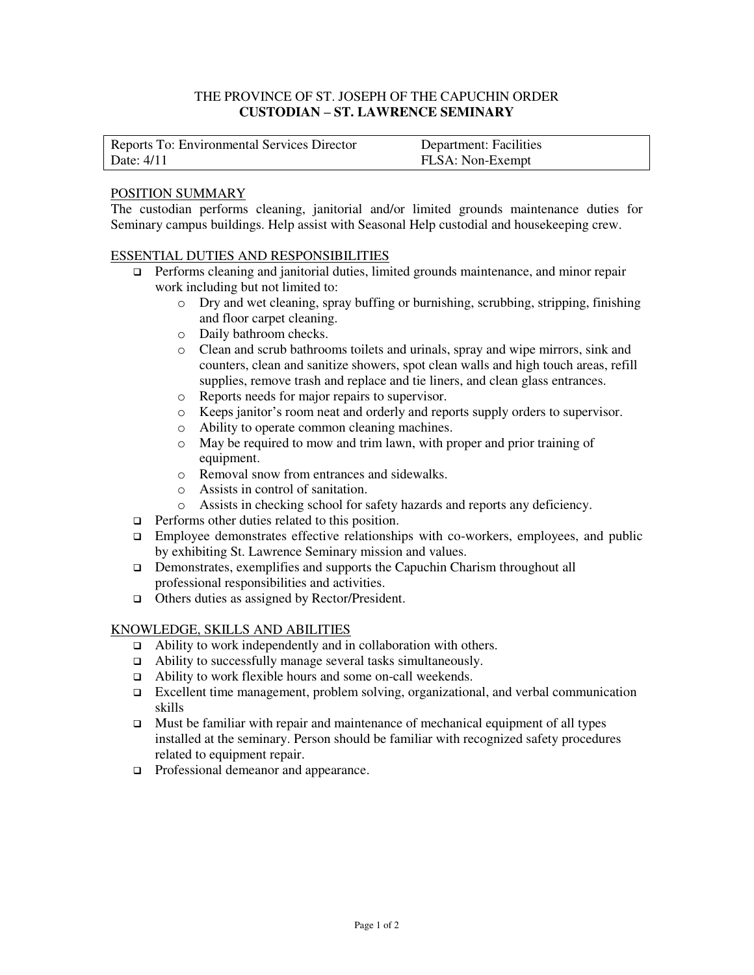# THE PROVINCE OF ST. JOSEPH OF THE CAPUCHIN ORDER **CUSTODIAN – ST. LAWRENCE SEMINARY**

| Reports To: Environmental Services Director | <b>Department: Facilities</b> |
|---------------------------------------------|-------------------------------|
| Date: 4/11                                  | FLSA: Non-Exempt              |

# POSITION SUMMARY

The custodian performs cleaning, janitorial and/or limited grounds maintenance duties for Seminary campus buildings. Help assist with Seasonal Help custodial and housekeeping crew.

### ESSENTIAL DUTIES AND RESPONSIBILITIES

- Performs cleaning and janitorial duties, limited grounds maintenance, and minor repair work including but not limited to:
	- o Dry and wet cleaning, spray buffing or burnishing, scrubbing, stripping, finishing and floor carpet cleaning.
	- o Daily bathroom checks.
	- o Clean and scrub bathrooms toilets and urinals, spray and wipe mirrors, sink and counters, clean and sanitize showers, spot clean walls and high touch areas, refill supplies, remove trash and replace and tie liners, and clean glass entrances.
	- o Reports needs for major repairs to supervisor.
	- o Keeps janitor's room neat and orderly and reports supply orders to supervisor.
	- o Ability to operate common cleaning machines.
	- o May be required to mow and trim lawn, with proper and prior training of equipment.
	- o Removal snow from entrances and sidewalks.
	- o Assists in control of sanitation.
	- o Assists in checking school for safety hazards and reports any deficiency.
- $\Box$  Performs other duties related to this position.
- □ Employee demonstrates effective relationships with co-workers, employees, and public by exhibiting St. Lawrence Seminary mission and values.
- Demonstrates, exemplifies and supports the Capuchin Charism throughout all professional responsibilities and activities.
- □ Others duties as assigned by Rector/President.

#### KNOWLEDGE, SKILLS AND ABILITIES

- Ability to work independently and in collaboration with others.
- Ability to successfully manage several tasks simultaneously.
- Ability to work flexible hours and some on-call weekends.
- Excellent time management, problem solving, organizational, and verbal communication skills
- $\Box$  Must be familiar with repair and maintenance of mechanical equipment of all types installed at the seminary. Person should be familiar with recognized safety procedures related to equipment repair.
- □ Professional demeanor and appearance.